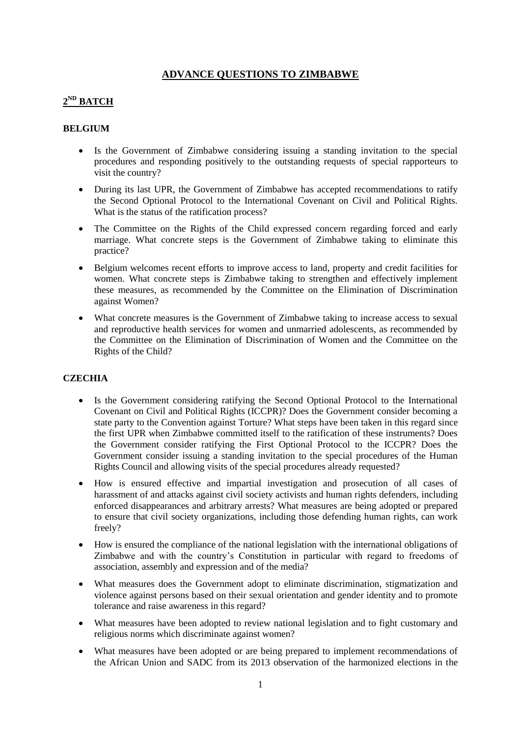## **ADVANCE QUESTIONS TO ZIMBABWE**

# **2 ND BATCH**

#### **BELGIUM**

- Is the Government of Zimbabwe considering issuing a standing invitation to the special procedures and responding positively to the outstanding requests of special rapporteurs to visit the country?
- During its last UPR, the Government of Zimbabwe has accepted recommendations to ratify the Second Optional Protocol to the International Covenant on Civil and Political Rights. What is the status of the ratification process?
- The Committee on the Rights of the Child expressed concern regarding forced and early marriage. What concrete steps is the Government of Zimbabwe taking to eliminate this practice?
- Belgium welcomes recent efforts to improve access to land, property and credit facilities for women. What concrete steps is Zimbabwe taking to strengthen and effectively implement these measures, as recommended by the Committee on the Elimination of Discrimination against Women?
- What concrete measures is the Government of Zimbabwe taking to increase access to sexual and reproductive health services for women and unmarried adolescents, as recommended by the Committee on the Elimination of Discrimination of Women and the Committee on the Rights of the Child?

### **CZECHIA**

- Is the Government considering ratifying the Second Optional Protocol to the International Covenant on Civil and Political Rights (ICCPR)? Does the Government consider becoming a state party to the Convention against Torture? What steps have been taken in this regard since the first UPR when Zimbabwe committed itself to the ratification of these instruments? Does the Government consider ratifying the First Optional Protocol to the ICCPR? Does the Government consider issuing a standing invitation to the special procedures of the Human Rights Council and allowing visits of the special procedures already requested?
- How is ensured effective and impartial investigation and prosecution of all cases of harassment of and attacks against civil society activists and human rights defenders, including enforced disappearances and arbitrary arrests? What measures are being adopted or prepared to ensure that civil society organizations, including those defending human rights, can work freely?
- How is ensured the compliance of the national legislation with the international obligations of Zimbabwe and with the country's Constitution in particular with regard to freedoms of association, assembly and expression and of the media?
- What measures does the Government adopt to eliminate discrimination, stigmatization and violence against persons based on their sexual orientation and gender identity and to promote tolerance and raise awareness in this regard?
- What measures have been adopted to review national legislation and to fight customary and religious norms which discriminate against women?
- What measures have been adopted or are being prepared to implement recommendations of the African Union and SADC from its 2013 observation of the harmonized elections in the